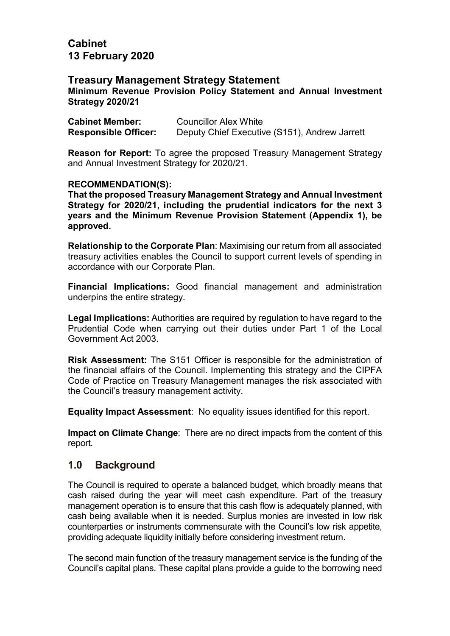## Cabinet 13 February 2020

## Treasury Management Strategy Statement

Minimum Revenue Provision Policy Statement and Annual Investment Strategy 2020/21

| <b>Cabinet Member:</b>      | <b>Councillor Alex White</b>                  |
|-----------------------------|-----------------------------------------------|
| <b>Responsible Officer:</b> | Deputy Chief Executive (S151), Andrew Jarrett |

Reason for Report: To agree the proposed Treasury Management Strategy and Annual Investment Strategy for 2020/21.

#### RECOMMENDATION(S):

That the proposed Treasury Management Strategy and Annual Investment Strategy for 2020/21, including the prudential indicators for the next 3 years and the Minimum Revenue Provision Statement (Appendix 1), be approved.

Relationship to the Corporate Plan: Maximising our return from all associated treasury activities enables the Council to support current levels of spending in accordance with our Corporate Plan.

Financial Implications: Good financial management and administration underpins the entire strategy.

Legal Implications: Authorities are required by regulation to have regard to the Prudential Code when carrying out their duties under Part 1 of the Local Government Act 2003.

Risk Assessment: The S151 Officer is responsible for the administration of the financial affairs of the Council. Implementing this strategy and the CIPFA Code of Practice on Treasury Management manages the risk associated with the Council's treasury management activity.

Equality Impact Assessment: No equality issues identified for this report.

Impact on Climate Change: There are no direct impacts from the content of this report.

## 1.0 Background

The Council is required to operate a balanced budget, which broadly means that cash raised during the year will meet cash expenditure. Part of the treasury management operation is to ensure that this cash flow is adequately planned, with cash being available when it is needed. Surplus monies are invested in low risk counterparties or instruments commensurate with the Council's low risk appetite, providing adequate liquidity initially before considering investment return.

The second main function of the treasury management service is the funding of the Council's capital plans. These capital plans provide a guide to the borrowing need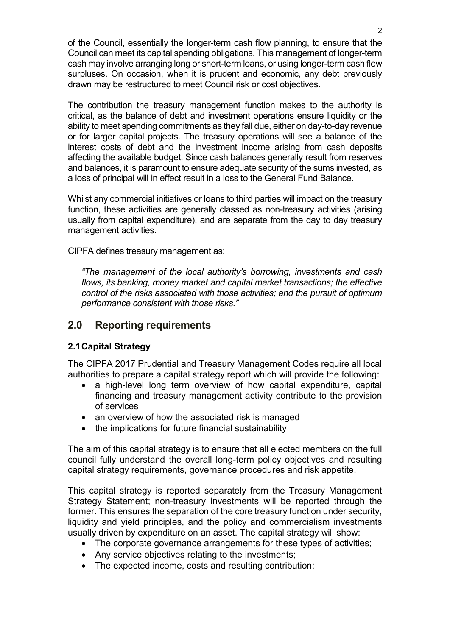of the Council, essentially the longer-term cash flow planning, to ensure that the Council can meet its capital spending obligations. This management of longer-term cash may involve arranging long or short-term loans, or using longer-term cash flow surpluses. On occasion, when it is prudent and economic, any debt previously drawn may be restructured to meet Council risk or cost objectives.

The contribution the treasury management function makes to the authority is critical, as the balance of debt and investment operations ensure liquidity or the ability to meet spending commitments as they fall due, either on day-to-day revenue or for larger capital projects. The treasury operations will see a balance of the interest costs of debt and the investment income arising from cash deposits affecting the available budget. Since cash balances generally result from reserves and balances, it is paramount to ensure adequate security of the sums invested, as a loss of principal will in effect result in a loss to the General Fund Balance.

Whilst any commercial initiatives or loans to third parties will impact on the treasury function, these activities are generally classed as non-treasury activities (arising usually from capital expenditure), and are separate from the day to day treasury management activities.

CIPFA defines treasury management as:

"The management of the local authority's borrowing, investments and cash flows, its banking, money market and capital market transactions; the effective control of the risks associated with those activities; and the pursuit of optimum performance consistent with those risks."

## 2.0 Reporting requirements

#### 2.1 Capital Strategy

The CIPFA 2017 Prudential and Treasury Management Codes require all local authorities to prepare a capital strategy report which will provide the following:

- a high-level long term overview of how capital expenditure, capital financing and treasury management activity contribute to the provision of services
- an overview of how the associated risk is managed
- the implications for future financial sustainability

The aim of this capital strategy is to ensure that all elected members on the full council fully understand the overall long-term policy objectives and resulting capital strategy requirements, governance procedures and risk appetite.

This capital strategy is reported separately from the Treasury Management Strategy Statement; non-treasury investments will be reported through the former. This ensures the separation of the core treasury function under security, liquidity and yield principles, and the policy and commercialism investments usually driven by expenditure on an asset. The capital strategy will show:

- The corporate governance arrangements for these types of activities;
- Any service objectives relating to the investments;
- The expected income, costs and resulting contribution;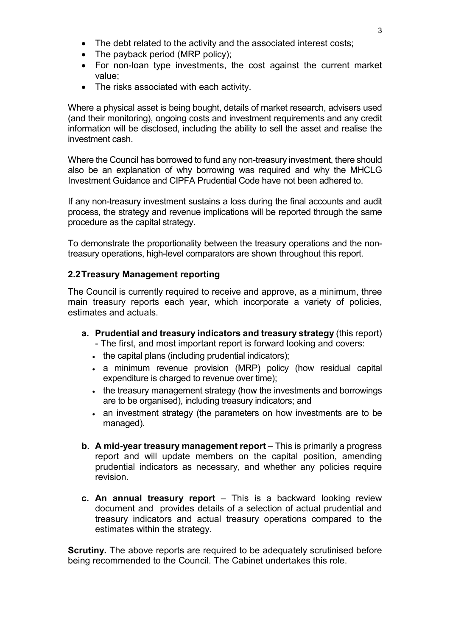- The debt related to the activity and the associated interest costs;
- The payback period (MRP policy);
- For non-loan type investments, the cost against the current market value;
- The risks associated with each activity.

Where a physical asset is being bought, details of market research, advisers used (and their monitoring), ongoing costs and investment requirements and any credit information will be disclosed, including the ability to sell the asset and realise the investment cash.

Where the Council has borrowed to fund any non-treasury investment, there should also be an explanation of why borrowing was required and why the MHCLG Investment Guidance and CIPFA Prudential Code have not been adhered to.

If any non-treasury investment sustains a loss during the final accounts and audit process, the strategy and revenue implications will be reported through the same procedure as the capital strategy.

To demonstrate the proportionality between the treasury operations and the nontreasury operations, high-level comparators are shown throughout this report.

#### 2.2 Treasury Management reporting

The Council is currently required to receive and approve, as a minimum, three main treasury reports each year, which incorporate a variety of policies, estimates and actuals.

- a. Prudential and treasury indicators and treasury strategy (this report) - The first, and most important report is forward looking and covers:
	-
	- . the capital plans (including prudential indicators);
	- a minimum revenue provision (MRP) policy (how residual capital expenditure is charged to revenue over time);
	- the treasury management strategy (how the investments and borrowings are to be organised), including treasury indicators; and
	- an investment strategy (the parameters on how investments are to be managed).
- b. A mid-year treasury management report This is primarily a progress report and will update members on the capital position, amending prudential indicators as necessary, and whether any policies require revision.
- c. An annual treasury report  $-$  This is a backward looking review document and provides details of a selection of actual prudential and treasury indicators and actual treasury operations compared to the estimates within the strategy.

**Scrutiny.** The above reports are required to be adequately scrutinised before being recommended to the Council. The Cabinet undertakes this role.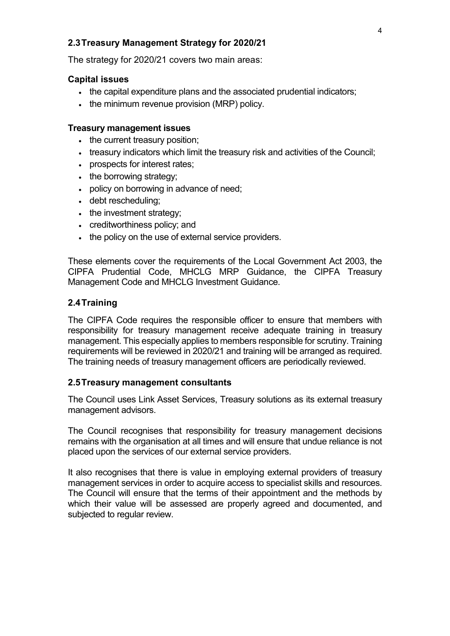### 2.3 Treasury Management Strategy for 2020/21

The strategy for 2020/21 covers two main areas:

#### Capital issues

- the capital expenditure plans and the associated prudential indicators;
- the minimum revenue provision (MRP) policy.

#### Treasury management issues

- the current treasury position;
- treasury indicators which limit the treasury risk and activities of the Council;
- prospects for interest rates;
- the borrowing strategy;
- policy on borrowing in advance of need;
- debt rescheduling;
- the investment strategy:
- creditworthiness policy; and
- . the policy on the use of external service providers.

These elements cover the requirements of the Local Government Act 2003, the CIPFA Prudential Code, MHCLG MRP Guidance, the CIPFA Treasury Management Code and MHCLG Investment Guidance.

#### 2.4 Training

The CIPFA Code requires the responsible officer to ensure that members with responsibility for treasury management receive adequate training in treasury management. This especially applies to members responsible for scrutiny. Training requirements will be reviewed in 2020/21 and training will be arranged as required. The training needs of treasury management officers are periodically reviewed.

#### 2.5 Treasury management consultants

The Council uses Link Asset Services, Treasury solutions as its external treasury management advisors.

The Council recognises that responsibility for treasury management decisions remains with the organisation at all times and will ensure that undue reliance is not placed upon the services of our external service providers.

It also recognises that there is value in employing external providers of treasury management services in order to acquire access to specialist skills and resources. The Council will ensure that the terms of their appointment and the methods by which their value will be assessed are properly agreed and documented, and subjected to regular review.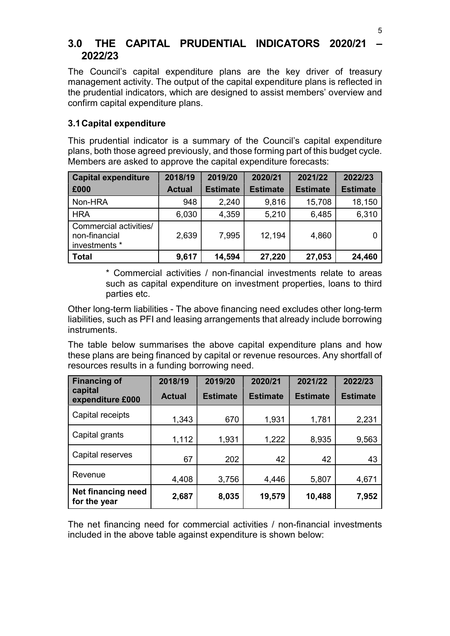## 3.0 THE CAPITAL PRUDENTIAL INDICATORS 2020/21 – 2022/23

The Council's capital expenditure plans are the key driver of treasury management activity. The output of the capital expenditure plans is reflected in the prudential indicators, which are designed to assist members' overview and confirm capital expenditure plans.

## 3.1 Capital expenditure

This prudential indicator is a summary of the Council's capital expenditure plans, both those agreed previously, and those forming part of this budget cycle. Members are asked to approve the capital expenditure forecasts:

| <b>Capital expenditure</b>                               | 2018/19       | 2019/20         | 2020/21         | 2021/22         | 2022/23         |
|----------------------------------------------------------|---------------|-----------------|-----------------|-----------------|-----------------|
| E000                                                     | <b>Actual</b> | <b>Estimate</b> | <b>Estimate</b> | <b>Estimate</b> | <b>Estimate</b> |
| Non-HRA                                                  | 948           | 2,240           | 9,816           | 15,708          | 18,150          |
| <b>HRA</b>                                               | 6,030         | 4,359           | 5,210           | 6,485           | 6,310           |
| Commercial activities/<br>non-financial<br>investments * | 2,639         | 7,995           | 12,194          | 4,860           |                 |
| <b>Total</b>                                             | 9,617         | 14,594          | 27,220          | 27,053          | 24,460          |

\* Commercial activities / non-financial investments relate to areas such as capital expenditure on investment properties, loans to third parties etc.

Other long-term liabilities - The above financing need excludes other long-term liabilities, such as PFI and leasing arrangements that already include borrowing instruments.

The table below summarises the above capital expenditure plans and how these plans are being financed by capital or revenue resources. Any shortfall of resources results in a funding borrowing need.

| <b>Financing of</b>                | 2018/19       | 2019/20         | 2020/21         | 2021/22         | 2022/23         |
|------------------------------------|---------------|-----------------|-----------------|-----------------|-----------------|
| capital<br>expenditure £000        | <b>Actual</b> | <b>Estimate</b> | <b>Estimate</b> | <b>Estimate</b> | <b>Estimate</b> |
| Capital receipts                   | 1,343         | 670             | 1,931           | 1,781           | 2,231           |
| Capital grants                     | 1,112         | 1,931           | 1,222           | 8,935           | 9,563           |
| Capital reserves                   | 67            | 202             | 42              | 42              | 43              |
| Revenue                            | 4,408         | 3,756           | 4,446           | 5,807           | 4,671           |
| Net financing need<br>for the year | 2,687         | 8,035           | 19,579          | 10,488          | 7,952           |

The net financing need for commercial activities / non-financial investments included in the above table against expenditure is shown below: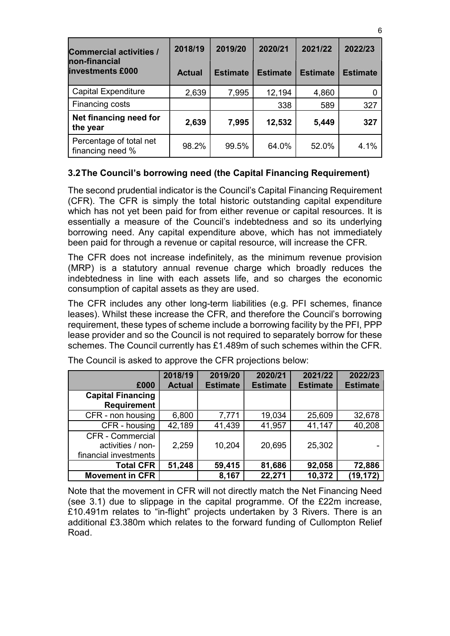| <b>Commercial activities /</b><br>non-financial | 2018/19       | 2019/20         | 2020/21         | 2021/22         | 2022/23         |
|-------------------------------------------------|---------------|-----------------|-----------------|-----------------|-----------------|
| <b>investments £000</b>                         | <b>Actual</b> | <b>Estimate</b> | <b>Estimate</b> | <b>Estimate</b> | <b>Estimate</b> |
| <b>Capital Expenditure</b>                      | 2,639         | 7,995           | 12,194          | 4,860           |                 |
| Financing costs                                 |               |                 | 338             | 589             | 327             |
| Net financing need for<br>the year              | 2,639         | 7,995           | 12,532          | 5,449           | 327             |
| Percentage of total net<br>financing need %     | 98.2%         | 99.5%           | 64.0%           | 52.0%           | 4.1%            |

## 3.2 The Council's borrowing need (the Capital Financing Requirement)

The second prudential indicator is the Council's Capital Financing Requirement (CFR). The CFR is simply the total historic outstanding capital expenditure which has not yet been paid for from either revenue or capital resources. It is essentially a measure of the Council's indebtedness and so its underlying borrowing need. Any capital expenditure above, which has not immediately been paid for through a revenue or capital resource, will increase the CFR.

The CFR does not increase indefinitely, as the minimum revenue provision (MRP) is a statutory annual revenue charge which broadly reduces the indebtedness in line with each assets life, and so charges the economic consumption of capital assets as they are used.

The CFR includes any other long-term liabilities (e.g. PFI schemes, finance leases). Whilst these increase the CFR, and therefore the Council's borrowing requirement, these types of scheme include a borrowing facility by the PFI, PPP lease provider and so the Council is not required to separately borrow for these schemes. The Council currently has £1.489m of such schemes within the CFR.

|                                                                | 2018/19       | 2019/20         | 2020/21         | 2021/22         | 2022/23         |
|----------------------------------------------------------------|---------------|-----------------|-----------------|-----------------|-----------------|
| £000                                                           | <b>Actual</b> | <b>Estimate</b> | <b>Estimate</b> | <b>Estimate</b> | <b>Estimate</b> |
| <b>Capital Financing</b><br><b>Requirement</b>                 |               |                 |                 |                 |                 |
| CFR - non housing                                              | 6,800         | 7,771           | 19,034          | 25,609          | 32,678          |
| CFR - housing                                                  | 42,189        | 41,439          | 41,957          | 41,147          | 40,208          |
| CFR - Commercial<br>activities / non-<br>financial investments | 2,259         | 10,204          | 20,695          | 25,302          |                 |
| <b>Total CFR</b>                                               | 51,248        | 59,415          | 81,686          | 92,058          | 72,886          |
| <b>Movement in CFR</b>                                         |               | 8,167           | 22,271          | 10,372          | (19, 172)       |

The Council is asked to approve the CFR projections below:

Note that the movement in CFR will not directly match the Net Financing Need (see 3.1) due to slippage in the capital programme. Of the £22m increase, £10.491m relates to "in-flight" projects undertaken by 3 Rivers. There is an additional £3.380m which relates to the forward funding of Cullompton Relief Road.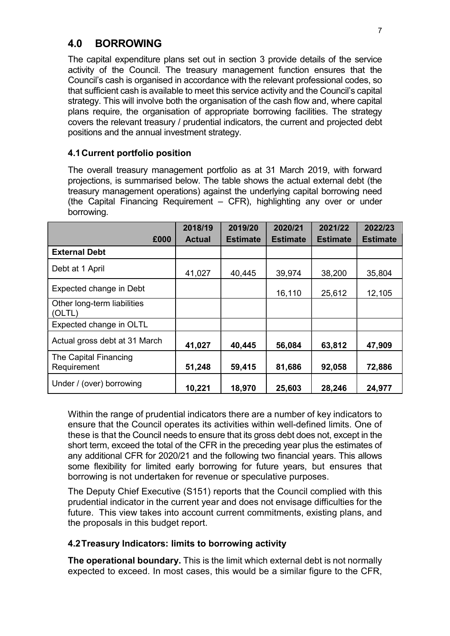## 4.0 BORROWING

The capital expenditure plans set out in section 3 provide details of the service activity of the Council. The treasury management function ensures that the Council's cash is organised in accordance with the relevant professional codes, so that sufficient cash is available to meet this service activity and the Council's capital strategy. This will involve both the organisation of the cash flow and, where capital plans require, the organisation of appropriate borrowing facilities. The strategy covers the relevant treasury / prudential indicators, the current and projected debt positions and the annual investment strategy.

## 4.1 Current portfolio position

The overall treasury management portfolio as at 31 March 2019, with forward projections, is summarised below. The table shows the actual external debt (the treasury management operations) against the underlying capital borrowing need (the Capital Financing Requirement – CFR), highlighting any over or under borrowing.

| £000                                  | 2018/19<br><b>Actual</b> | 2019/20<br><b>Estimate</b> | 2020/21<br><b>Estimate</b> | 2021/22<br><b>Estimate</b> | 2022/23<br><b>Estimate</b> |
|---------------------------------------|--------------------------|----------------------------|----------------------------|----------------------------|----------------------------|
| <b>External Debt</b>                  |                          |                            |                            |                            |                            |
|                                       |                          |                            |                            |                            |                            |
| Debt at 1 April                       | 41,027                   | 40,445                     | 39,974                     | 38,200                     | 35,804                     |
| Expected change in Debt               |                          |                            | 16,110                     | 25,612                     | 12,105                     |
| Other long-term liabilities<br>(OLTL) |                          |                            |                            |                            |                            |
| Expected change in OLTL               |                          |                            |                            |                            |                            |
| Actual gross debt at 31 March         | 41,027                   | 40,445                     | 56,084                     | 63,812                     | 47,909                     |
| The Capital Financing<br>Requirement  | 51,248                   | 59,415                     | 81,686                     | 92,058                     | 72,886                     |
| Under / (over) borrowing              | 10,221                   | 18,970                     | 25,603                     | 28,246                     | 24,977                     |

Within the range of prudential indicators there are a number of key indicators to ensure that the Council operates its activities within well-defined limits. One of these is that the Council needs to ensure that its gross debt does not, except in the short term, exceed the total of the CFR in the preceding year plus the estimates of any additional CFR for 2020/21 and the following two financial years. This allows some flexibility for limited early borrowing for future years, but ensures that borrowing is not undertaken for revenue or speculative purposes.

The Deputy Chief Executive (S151) reports that the Council complied with this prudential indicator in the current year and does not envisage difficulties for the future. This view takes into account current commitments, existing plans, and the proposals in this budget report.

#### 4.2 Treasury Indicators: limits to borrowing activity

The operational boundary. This is the limit which external debt is not normally expected to exceed. In most cases, this would be a similar figure to the CFR,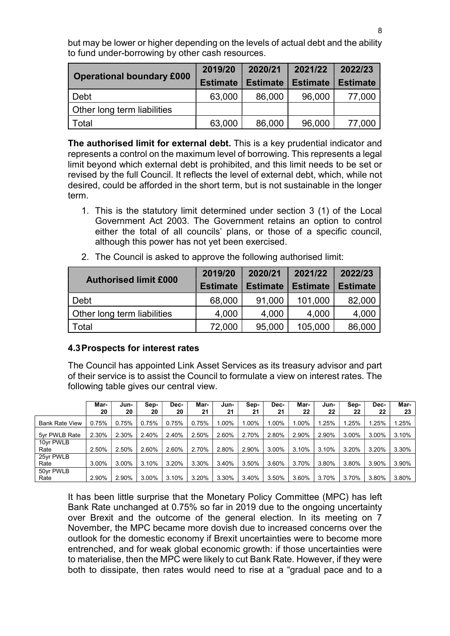but may be lower or higher depending on the levels of actual debt and the ability to fund under-borrowing by other cash resources.

|                                  | 2019/20         | 2020/21         | 2021/22         | 2022/23         |
|----------------------------------|-----------------|-----------------|-----------------|-----------------|
| <b>Operational boundary £000</b> | <b>Estimate</b> | <b>Estimate</b> | <b>Estimate</b> | <b>Estimate</b> |
| Debt                             | 63,000          | 86,000          | 96,000          | 77,000          |
| Other long term liabilities      |                 |                 |                 |                 |
| Total                            | 63,000          | 86,000          | 96,000          | 77,000          |

The authorised limit for external debt. This is a key prudential indicator and represents a control on the maximum level of borrowing. This represents a legal limit beyond which external debt is prohibited, and this limit needs to be set or revised by the full Council. It reflects the level of external debt, which, while not desired, could be afforded in the short term, but is not sustainable in the longer term.

1. This is the statutory limit determined under section 3 (1) of the Local Government Act 2003. The Government retains an option to control either the total of all councils' plans, or those of a specific council, although this power has not yet been exercised.

|                              | 2019/20         | 2020/21         | 2021/22         | 2022/23         |
|------------------------------|-----------------|-----------------|-----------------|-----------------|
| <b>Authorised limit £000</b> | <b>Estimate</b> | <b>Estimate</b> | <b>Estimate</b> | <b>Estimate</b> |
| Debt                         | 68,000          | 91,000          | 101,000         | 82,000          |
| Other long term liabilities  | 4,000           | 4,000           | 4,000           | 4,000           |
| Total                        | 72,000          | 95,000          | 105,000         | 86,000          |

2. The Council is asked to approve the following authorised limit:

#### 4.3 Prospects for interest rates

The Council has appointed Link Asset Services as its treasury advisor and part of their service is to assist the Council to formulate a view on interest rates. The following table gives our central view.

|                       | Mar-  | Jun-  | Sep-  | Dec-  | Mar-  | Jun-  | Sep-  | Dec-  | Mar-  | Jun-  | Sep-  | Dec-  | Mar-  |
|-----------------------|-------|-------|-------|-------|-------|-------|-------|-------|-------|-------|-------|-------|-------|
|                       | 20    | 20    | 20    | 20    | 21    | 21    | 21    | 21    | 22    | 22    | 22    | 22    | 23    |
| <b>Bank Rate View</b> | 0.75% | 0.75% | 0.75% | 0.75% | 0.75% | 1.00% | 1.00% | 1.00% | 1.00% | .25%  | 1.25% | 1.25% | 1.25% |
| 5yr PWLB Rate         | 2.30% | 2.30% | 2.40% | 2.40% | 2.50% | 2.60% | 2.70% | 2.80% | 2.90% | 2.90% | 3.00% | 3.00% | 3.10% |
| 10yr PWLB<br>Rate     | 2.50% | 2.50% | 2.60% | 2.60% | 2.70% | 2.80% | 2.90% | 3.00% | 3.10% | 3.10% | 3.20% | 3.20% | 3.30% |
| 25yr PWLB<br>Rate     | 3.00% | 3.00% | 3.10% | 3.20% | 3.30% | 3.40% | 3.50% | 3.60% | 3.70% | 3.80% | 3.80% | 3.90% | 3.90% |
| 50yr PWLB<br>Rate     | 2.90% | 2.90% | 3.00% | 3.10% | 3.20% | 3.30% | 3.40% | 3.50% | 3.60% | 3.70% | 3.70% | 3.80% | 3.80% |

It has been little surprise that the Monetary Policy Committee (MPC) has left Bank Rate unchanged at 0.75% so far in 2019 due to the ongoing uncertainty over Brexit and the outcome of the general election. In its meeting on 7 November, the MPC became more dovish due to increased concerns over the outlook for the domestic economy if Brexit uncertainties were to become more entrenched, and for weak global economic growth: if those uncertainties were to materialise, then the MPC were likely to cut Bank Rate. However, if they were both to dissipate, then rates would need to rise at a "gradual pace and to a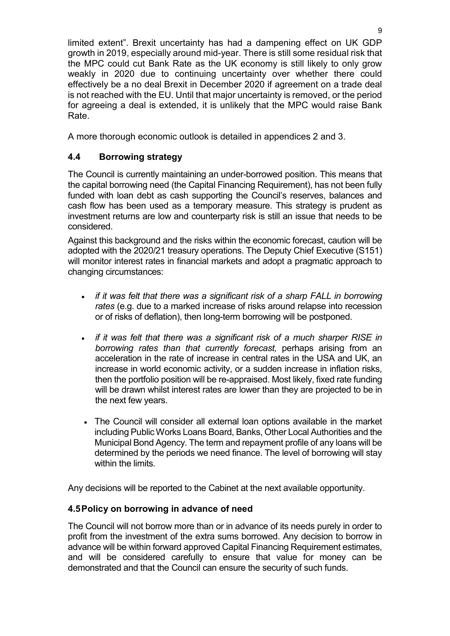limited extent". Brexit uncertainty has had a dampening effect on UK GDP growth in 2019, especially around mid-year. There is still some residual risk that the MPC could cut Bank Rate as the UK economy is still likely to only grow weakly in 2020 due to continuing uncertainty over whether there could effectively be a no deal Brexit in December 2020 if agreement on a trade deal is not reached with the EU. Until that major uncertainty is removed, or the period for agreeing a deal is extended, it is unlikely that the MPC would raise Bank Rate.

A more thorough economic outlook is detailed in appendices 2 and 3.

## 4.4 Borrowing strategy

The Council is currently maintaining an under-borrowed position. This means that the capital borrowing need (the Capital Financing Requirement), has not been fully funded with loan debt as cash supporting the Council's reserves, balances and cash flow has been used as a temporary measure. This strategy is prudent as investment returns are low and counterparty risk is still an issue that needs to be considered.

Against this background and the risks within the economic forecast, caution will be adopted with the 2020/21 treasury operations. The Deputy Chief Executive (S151) will monitor interest rates in financial markets and adopt a pragmatic approach to changing circumstances:

- if it was felt that there was a significant risk of a sharp FALL in borrowing rates (e.g. due to a marked increase of risks around relapse into recession or of risks of deflation), then long-term borrowing will be postponed.
- if it was felt that there was a significant risk of a much sharper RISE in borrowing rates than that currently forecast, perhaps arising from an acceleration in the rate of increase in central rates in the USA and UK, an increase in world economic activity, or a sudden increase in inflation risks, then the portfolio position will be re-appraised. Most likely, fixed rate funding will be drawn whilst interest rates are lower than they are projected to be in the next few years.
- The Council will consider all external loan options available in the market including Public Works Loans Board, Banks, Other Local Authorities and the Municipal Bond Agency. The term and repayment profile of any loans will be determined by the periods we need finance. The level of borrowing will stay within the limits.

Any decisions will be reported to the Cabinet at the next available opportunity.

## 4.5 Policy on borrowing in advance of need

The Council will not borrow more than or in advance of its needs purely in order to profit from the investment of the extra sums borrowed. Any decision to borrow in advance will be within forward approved Capital Financing Requirement estimates, and will be considered carefully to ensure that value for money can be demonstrated and that the Council can ensure the security of such funds.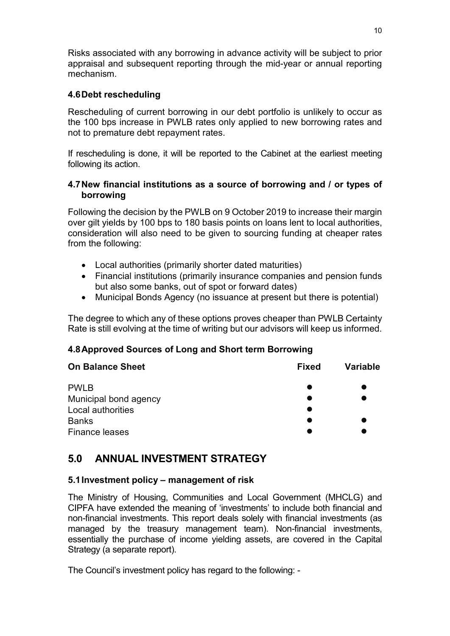Risks associated with any borrowing in advance activity will be subject to prior appraisal and subsequent reporting through the mid-year or annual reporting mechanism.

## 4.6 Debt rescheduling

Rescheduling of current borrowing in our debt portfolio is unlikely to occur as the 100 bps increase in PWLB rates only applied to new borrowing rates and not to premature debt repayment rates.

If rescheduling is done, it will be reported to the Cabinet at the earliest meeting following its action.

### 4.7 New financial institutions as a source of borrowing and / or types of borrowing

Following the decision by the PWLB on 9 October 2019 to increase their margin over gilt yields by 100 bps to 180 basis points on loans lent to local authorities, consideration will also need to be given to sourcing funding at cheaper rates from the following:

- Local authorities (primarily shorter dated maturities)
- Financial institutions (primarily insurance companies and pension funds but also some banks, out of spot or forward dates)
- Municipal Bonds Agency (no issuance at present but there is potential)

The degree to which any of these options proves cheaper than PWLB Certainty Rate is still evolving at the time of writing but our advisors will keep us informed.

## 4.8 Approved Sources of Long and Short term Borrowing

| <b>On Balance Sheet</b> | <b>Fixed</b> | <b>Variable</b> |
|-------------------------|--------------|-----------------|
| <b>PWLB</b>             |              |                 |
| Municipal bond agency   |              |                 |
| Local authorities       |              |                 |
| <b>Banks</b>            |              |                 |
| <b>Finance leases</b>   |              |                 |

# 5.0 ANNUAL INVESTMENT STRATEGY

## 5.1 Investment policy – management of risk

The Ministry of Housing, Communities and Local Government (MHCLG) and CIPFA have extended the meaning of 'investments' to include both financial and non-financial investments. This report deals solely with financial investments (as managed by the treasury management team). Non-financial investments, essentially the purchase of income yielding assets, are covered in the Capital Strategy (a separate report).

The Council's investment policy has regard to the following: -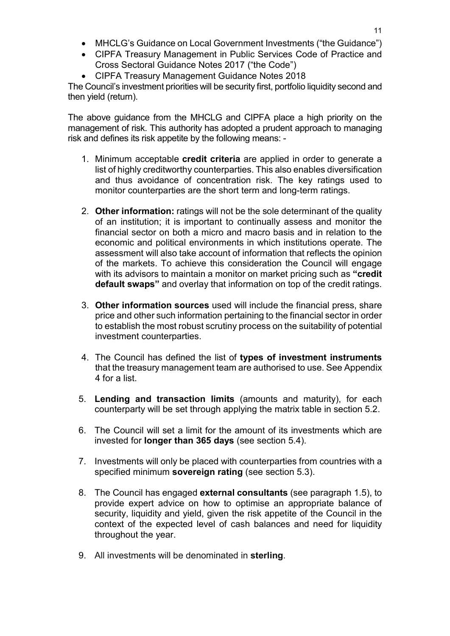- MHCLG's Guidance on Local Government Investments ("the Guidance")
- CIPFA Treasury Management in Public Services Code of Practice and Cross Sectoral Guidance Notes 2017 ("the Code")
- CIPFA Treasury Management Guidance Notes 2018

The Council's investment priorities will be security first, portfolio liquidity second and then yield (return).

The above guidance from the MHCLG and CIPFA place a high priority on the management of risk. This authority has adopted a prudent approach to managing risk and defines its risk appetite by the following means: -

- 1. Minimum acceptable credit criteria are applied in order to generate a list of highly creditworthy counterparties. This also enables diversification and thus avoidance of concentration risk. The key ratings used to monitor counterparties are the short term and long-term ratings.
- 2. Other information: ratings will not be the sole determinant of the quality of an institution; it is important to continually assess and monitor the financial sector on both a micro and macro basis and in relation to the economic and political environments in which institutions operate. The assessment will also take account of information that reflects the opinion of the markets. To achieve this consideration the Council will engage with its advisors to maintain a monitor on market pricing such as "credit default swaps" and overlay that information on top of the credit ratings.
- 3. Other information sources used will include the financial press, share price and other such information pertaining to the financial sector in order to establish the most robust scrutiny process on the suitability of potential investment counterparties.
- 4. The Council has defined the list of types of investment instruments that the treasury management team are authorised to use. See Appendix 4 for a list.
- 5. Lending and transaction limits (amounts and maturity), for each counterparty will be set through applying the matrix table in section 5.2.
- 6. The Council will set a limit for the amount of its investments which are invested for longer than 365 days (see section 5.4).
- 7. Investments will only be placed with counterparties from countries with a specified minimum sovereign rating (see section 5.3).
- 8. The Council has engaged external consultants (see paragraph 1.5), to provide expert advice on how to optimise an appropriate balance of security, liquidity and yield, given the risk appetite of the Council in the context of the expected level of cash balances and need for liquidity throughout the year.
- 9. All investments will be denominated in sterling.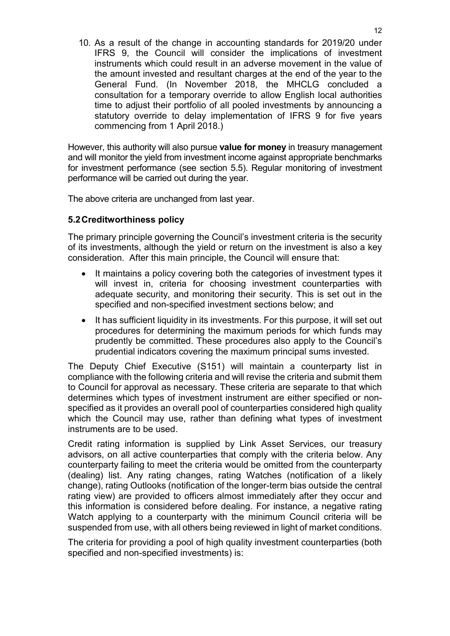10. As a result of the change in accounting standards for 2019/20 under IFRS 9, the Council will consider the implications of investment instruments which could result in an adverse movement in the value of the amount invested and resultant charges at the end of the year to the General Fund. (In November 2018, the MHCLG concluded a consultation for a temporary override to allow English local authorities time to adjust their portfolio of all pooled investments by announcing a statutory override to delay implementation of IFRS 9 for five years commencing from 1 April 2018.)

However, this authority will also pursue **value for money** in treasury management and will monitor the yield from investment income against appropriate benchmarks for investment performance (see section 5.5). Regular monitoring of investment performance will be carried out during the year.

The above criteria are unchanged from last year.

### 5.2 Creditworthiness policy

The primary principle governing the Council's investment criteria is the security of its investments, although the yield or return on the investment is also a key consideration. After this main principle, the Council will ensure that:

- It maintains a policy covering both the categories of investment types it will invest in, criteria for choosing investment counterparties with adequate security, and monitoring their security. This is set out in the specified and non-specified investment sections below; and
- It has sufficient liquidity in its investments. For this purpose, it will set out procedures for determining the maximum periods for which funds may prudently be committed. These procedures also apply to the Council's prudential indicators covering the maximum principal sums invested.

The Deputy Chief Executive (S151) will maintain a counterparty list in compliance with the following criteria and will revise the criteria and submit them to Council for approval as necessary. These criteria are separate to that which determines which types of investment instrument are either specified or nonspecified as it provides an overall pool of counterparties considered high quality which the Council may use, rather than defining what types of investment instruments are to be used.

Credit rating information is supplied by Link Asset Services, our treasury advisors, on all active counterparties that comply with the criteria below. Any counterparty failing to meet the criteria would be omitted from the counterparty (dealing) list. Any rating changes, rating Watches (notification of a likely change), rating Outlooks (notification of the longer-term bias outside the central rating view) are provided to officers almost immediately after they occur and this information is considered before dealing. For instance, a negative rating Watch applying to a counterparty with the minimum Council criteria will be suspended from use, with all others being reviewed in light of market conditions.

The criteria for providing a pool of high quality investment counterparties (both specified and non-specified investments) is: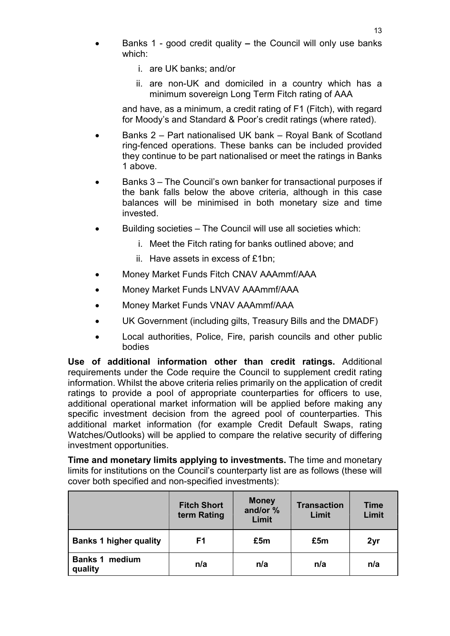- Banks 1 good credit quality the Council will only use banks which:
	- i. are UK banks; and/or
	- ii. are non-UK and domiciled in a country which has a minimum sovereign Long Term Fitch rating of AAA

and have, as a minimum, a credit rating of F1 (Fitch), with regard for Moody's and Standard & Poor's credit ratings (where rated).

- Banks 2 Part nationalised UK bank Royal Bank of Scotland ring-fenced operations. These banks can be included provided they continue to be part nationalised or meet the ratings in Banks 1 above.
- Banks 3 The Council's own banker for transactional purposes if the bank falls below the above criteria, although in this case balances will be minimised in both monetary size and time invested.
- Building societies The Council will use all societies which:
	- i. Meet the Fitch rating for banks outlined above; and
	- ii. Have assets in excess of £1bn;
- Money Market Funds Fitch CNAV AAAmmf/AAA
- Money Market Funds LNVAV AAAmmf/AAA
- Money Market Funds VNAV AAAmmf/AAA
- UK Government (including gilts, Treasury Bills and the DMADF)
- Local authorities, Police, Fire, parish councils and other public bodies

Use of additional information other than credit ratings. Additional requirements under the Code require the Council to supplement credit rating information. Whilst the above criteria relies primarily on the application of credit ratings to provide a pool of appropriate counterparties for officers to use, additional operational market information will be applied before making any specific investment decision from the agreed pool of counterparties. This additional market information (for example Credit Default Swaps, rating Watches/Outlooks) will be applied to compare the relative security of differing investment opportunities.

Time and monetary limits applying to investments. The time and monetary limits for institutions on the Council's counterparty list are as follows (these will cover both specified and non-specified investments):

|                                  | <b>Fitch Short</b><br>term Rating | <b>Money</b><br>and/or %<br>Limit | <b>Transaction</b><br>Limit | <b>Time</b><br>Limit |
|----------------------------------|-----------------------------------|-----------------------------------|-----------------------------|----------------------|
| <b>Banks 1 higher quality</b>    | F1                                | £5m                               | £5m                         | 2yr                  |
| <b>Banks 1 medium</b><br>quality | n/a                               | n/a                               | n/a                         | n/a                  |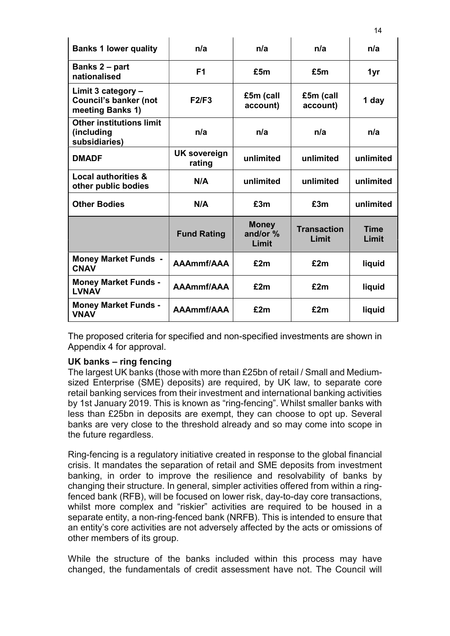| <b>Banks 1 lower quality</b>                                           | n/a                    | n/a                               | n/a                         | n/a                  |
|------------------------------------------------------------------------|------------------------|-----------------------------------|-----------------------------|----------------------|
| Banks 2 - part<br>nationalised                                         | F <sub>1</sub>         | £5m                               | £5m                         | 1yr                  |
| Limit 3 category -<br><b>Council's banker (not</b><br>meeting Banks 1) | F2/F3                  | £5m (call<br>account)             | £5m (call<br>account)       | 1 day                |
| <b>Other institutions limit</b><br>(including<br>subsidiaries)         | n/a                    | n/a                               | n/a                         | n/a                  |
| <b>DMADF</b>                                                           | UK sovereign<br>rating | unlimited                         | unlimited                   | unlimited            |
| <b>Local authorities &amp;</b><br>other public bodies                  | N/A                    | unlimited                         | unlimited                   | unlimited            |
| <b>Other Bodies</b>                                                    | N/A                    | £3m                               | £3m                         | unlimited            |
|                                                                        | <b>Fund Rating</b>     | <b>Money</b><br>and/or %<br>Limit | <b>Transaction</b><br>Limit | <b>Time</b><br>Limit |
| <b>Money Market Funds -</b><br><b>CNAV</b>                             | AAAmmf/AAA             | £2m                               | £2m                         | liquid               |
| <b>Money Market Funds -</b><br><b>LVNAV</b>                            | AAAmmf/AAA             | £2m                               | £2m                         | liquid               |
| <b>Money Market Funds -</b><br><b>VNAV</b>                             | AAAmmf/AAA             | £2m                               | £2m                         | liquid               |

The proposed criteria for specified and non-specified investments are shown in Appendix 4 for approval.

#### UK banks – ring fencing

The largest UK banks (those with more than £25bn of retail / Small and Mediumsized Enterprise (SME) deposits) are required, by UK law, to separate core retail banking services from their investment and international banking activities by 1st January 2019. This is known as "ring-fencing". Whilst smaller banks with less than £25bn in deposits are exempt, they can choose to opt up. Several banks are very close to the threshold already and so may come into scope in the future regardless.

Ring-fencing is a regulatory initiative created in response to the global financial crisis. It mandates the separation of retail and SME deposits from investment banking, in order to improve the resilience and resolvability of banks by changing their structure. In general, simpler activities offered from within a ringfenced bank (RFB), will be focused on lower risk, day-to-day core transactions, whilst more complex and "riskier" activities are required to be housed in a separate entity, a non-ring-fenced bank (NRFB). This is intended to ensure that an entity's core activities are not adversely affected by the acts or omissions of other members of its group.

While the structure of the banks included within this process may have changed, the fundamentals of credit assessment have not. The Council will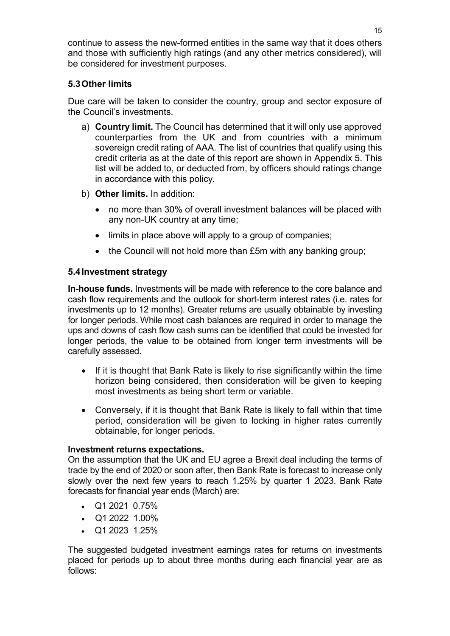continue to assess the new-formed entities in the same way that it does others and those with sufficiently high ratings (and any other metrics considered), will be considered for investment purposes.

## 5.3 Other limits

Due care will be taken to consider the country, group and sector exposure of the Council's investments.

- a) Country limit. The Council has determined that it will only use approved counterparties from the UK and from countries with a minimum sovereign credit rating of AAA. The list of countries that qualify using this credit criteria as at the date of this report are shown in Appendix 5. This list will be added to, or deducted from, by officers should ratings change in accordance with this policy.
- b) Other limits. In addition:
	- no more than 30% of overall investment balances will be placed with any non-UK country at any time;
	- limits in place above will apply to a group of companies:
	- $\bullet$  the Council will not hold more than £5m with any banking group;

## 5.4 Investment strategy

In-house funds. Investments will be made with reference to the core balance and cash flow requirements and the outlook for short-term interest rates (i.e. rates for investments up to 12 months). Greater returns are usually obtainable by investing for longer periods. While most cash balances are required in order to manage the ups and downs of cash flow cash sums can be identified that could be invested for longer periods, the value to be obtained from longer term investments will be carefully assessed.

- If it is thought that Bank Rate is likely to rise significantly within the time horizon being considered, then consideration will be given to keeping most investments as being short term or variable.
- Conversely, if it is thought that Bank Rate is likely to fall within that time period, consideration will be given to locking in higher rates currently obtainable, for longer periods.

#### Investment returns expectations.

On the assumption that the UK and EU agree a Brexit deal including the terms of trade by the end of 2020 or soon after, then Bank Rate is forecast to increase only slowly over the next few years to reach 1.25% by quarter 1 2023. Bank Rate forecasts for financial year ends (March) are:

- $\bullet$  Q1 2021 0.75%
- $\bullet$  Q1 2022 1.00%
- $\bullet$  Q1 2023 1.25%

The suggested budgeted investment earnings rates for returns on investments placed for periods up to about three months during each financial year are as follows: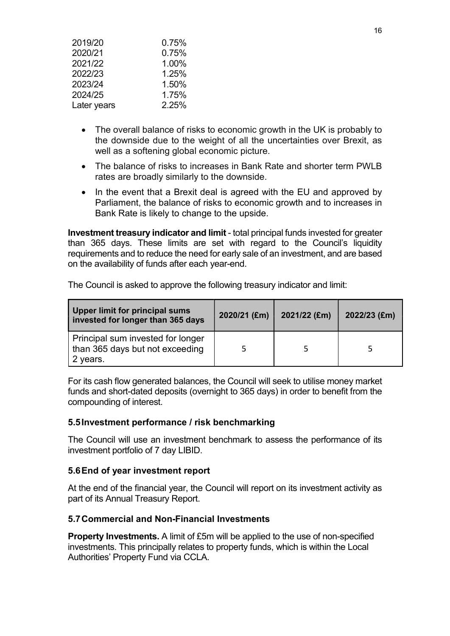| 2019/20     | 0.75% |
|-------------|-------|
| 2020/21     | 0.75% |
| 2021/22     | 1.00% |
| 2022/23     | 1.25% |
| 2023/24     | 1.50% |
| 2024/25     | 1.75% |
| Later years | 2.25% |

- The overall balance of risks to economic growth in the UK is probably to the downside due to the weight of all the uncertainties over Brexit, as well as a softening global economic picture.
- The balance of risks to increases in Bank Rate and shorter term PWLB rates are broadly similarly to the downside.
- In the event that a Brexit deal is agreed with the EU and approved by Parliament, the balance of risks to economic growth and to increases in Bank Rate is likely to change to the upside.

Investment treasury indicator and limit - total principal funds invested for greater than 365 days. These limits are set with regard to the Council's liquidity requirements and to reduce the need for early sale of an investment, and are based on the availability of funds after each year-end.

| Upper limit for principal sums<br>invested for longer than 365 days              | 2020/21 (£m) | 2021/22 (£m) | $2022/23$ (£m) |  |
|----------------------------------------------------------------------------------|--------------|--------------|----------------|--|
| Principal sum invested for longer<br>than 365 days but not exceeding<br>2 years. |              |              |                |  |

The Council is asked to approve the following treasury indicator and limit:

For its cash flow generated balances, the Council will seek to utilise money market funds and short-dated deposits (overnight to 365 days) in order to benefit from the compounding of interest.

#### 5.5 Investment performance / risk benchmarking

The Council will use an investment benchmark to assess the performance of its investment portfolio of 7 day LIBID.

#### 5.6 End of year investment report

At the end of the financial year, the Council will report on its investment activity as part of its Annual Treasury Report.

#### 5.7 Commercial and Non-Financial Investments

Property Investments. A limit of £5m will be applied to the use of non-specified investments. This principally relates to property funds, which is within the Local Authorities' Property Fund via CCLA.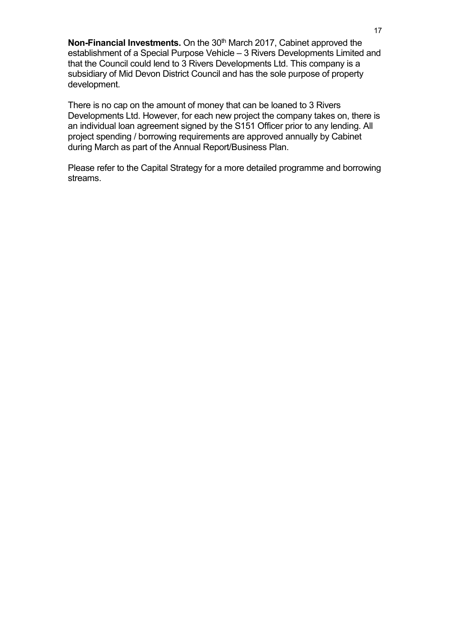Non-Financial Investments. On the 30<sup>th</sup> March 2017, Cabinet approved the establishment of a Special Purpose Vehicle – 3 Rivers Developments Limited and that the Council could lend to 3 Rivers Developments Ltd. This company is a subsidiary of Mid Devon District Council and has the sole purpose of property development.

There is no cap on the amount of money that can be loaned to 3 Rivers Developments Ltd. However, for each new project the company takes on, there is an individual loan agreement signed by the S151 Officer prior to any lending. All project spending / borrowing requirements are approved annually by Cabinet during March as part of the Annual Report/Business Plan.

Please refer to the Capital Strategy for a more detailed programme and borrowing streams.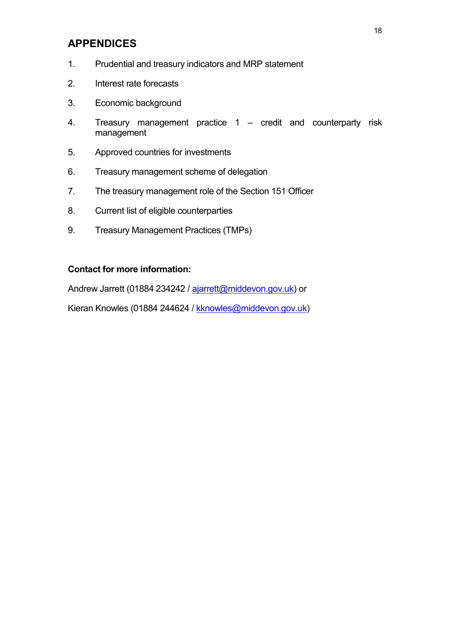# APPENDICES

- 1. Prudential and treasury indicators and MRP statement
- 2. Interest rate forecasts
- 3. Economic background
- 4. Treasury management practice 1 credit and counterparty risk management
- 5. Approved countries for investments
- 6. Treasury management scheme of delegation
- 7. The treasury management role of the Section 151 Officer
- 8. Current list of eligible counterparties
- 9. Treasury Management Practices (TMPs)

#### Contact for more information:

Andrew Jarrett (01884 234242 / ajarrett@middevon.gov.uk) or

Kieran Knowles (01884 244624 / kknowles@middevon.gov.uk)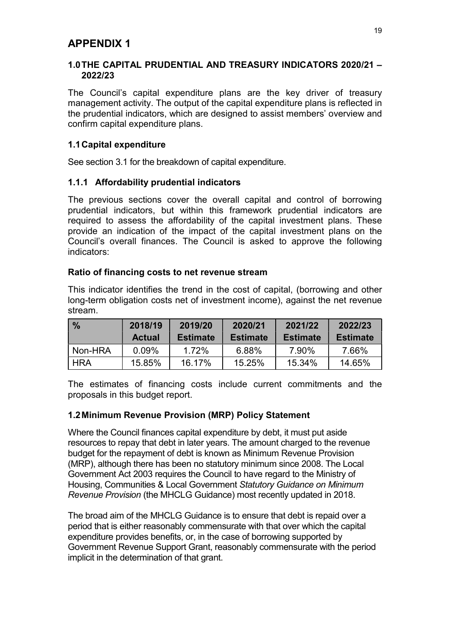### 1.0 THE CAPITAL PRUDENTIAL AND TREASURY INDICATORS 2020/21 – 2022/23

The Council's capital expenditure plans are the key driver of treasury management activity. The output of the capital expenditure plans is reflected in the prudential indicators, which are designed to assist members' overview and confirm capital expenditure plans.

## 1.1 Capital expenditure

See section 3.1 for the breakdown of capital expenditure.

### 1.1.1 Affordability prudential indicators

The previous sections cover the overall capital and control of borrowing prudential indicators, but within this framework prudential indicators are required to assess the affordability of the capital investment plans. These provide an indication of the impact of the capital investment plans on the Council's overall finances. The Council is asked to approve the following indicators:

#### Ratio of financing costs to net revenue stream

This indicator identifies the trend in the cost of capital, (borrowing and other long-term obligation costs net of investment income), against the net revenue stream.

| $\frac{0}{0}$ | 2018/19<br><b>Actual</b> | 2019/20<br><b>Estimate</b> | 2020/21<br><b>Estimate</b> | 2021/22<br><b>Estimate</b> | 2022/23<br><b>Estimate</b> |
|---------------|--------------------------|----------------------------|----------------------------|----------------------------|----------------------------|
| Non-HRA       | 0.09%                    | 1.72%                      | 6.88%                      | 7.90%                      | 7.66%                      |
| <b>HRA</b>    | 15.85%                   | 16.17%                     | 15.25%                     | 15.34%                     | 14.65%                     |

The estimates of financing costs include current commitments and the proposals in this budget report.

## 1.2 Minimum Revenue Provision (MRP) Policy Statement

Where the Council finances capital expenditure by debt, it must put aside resources to repay that debt in later years. The amount charged to the revenue budget for the repayment of debt is known as Minimum Revenue Provision (MRP), although there has been no statutory minimum since 2008. The Local Government Act 2003 requires the Council to have regard to the Ministry of Housing, Communities & Local Government Statutory Guidance on Minimum Revenue Provision (the MHCLG Guidance) most recently updated in 2018.

The broad aim of the MHCLG Guidance is to ensure that debt is repaid over a period that is either reasonably commensurate with that over which the capital expenditure provides benefits, or, in the case of borrowing supported by Government Revenue Support Grant, reasonably commensurate with the period implicit in the determination of that grant.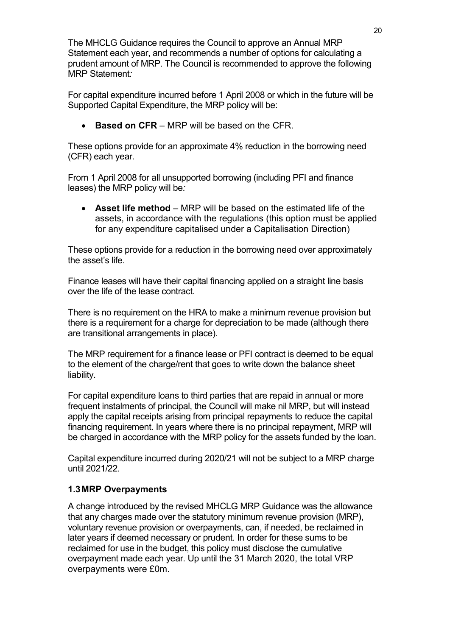The MHCLG Guidance requires the Council to approve an Annual MRP Statement each year, and recommends a number of options for calculating a prudent amount of MRP. The Council is recommended to approve the following MRP Statement:

For capital expenditure incurred before 1 April 2008 or which in the future will be Supported Capital Expenditure, the MRP policy will be:

 $\bullet$  Based on CFR – MRP will be based on the CFR.

These options provide for an approximate 4% reduction in the borrowing need (CFR) each year.

From 1 April 2008 for all unsupported borrowing (including PFI and finance leases) the MRP policy will be:

 Asset life method – MRP will be based on the estimated life of the assets, in accordance with the regulations (this option must be applied for any expenditure capitalised under a Capitalisation Direction)

These options provide for a reduction in the borrowing need over approximately the asset's life.

Finance leases will have their capital financing applied on a straight line basis over the life of the lease contract.

There is no requirement on the HRA to make a minimum revenue provision but there is a requirement for a charge for depreciation to be made (although there are transitional arrangements in place).

The MRP requirement for a finance lease or PFI contract is deemed to be equal to the element of the charge/rent that goes to write down the balance sheet liability.

For capital expenditure loans to third parties that are repaid in annual or more frequent instalments of principal, the Council will make nil MRP, but will instead apply the capital receipts arising from principal repayments to reduce the capital financing requirement. In years where there is no principal repayment, MRP will be charged in accordance with the MRP policy for the assets funded by the loan.

Capital expenditure incurred during 2020/21 will not be subject to a MRP charge until 2021/22.

## 1.3 MRP Overpayments

A change introduced by the revised MHCLG MRP Guidance was the allowance that any charges made over the statutory minimum revenue provision (MRP), voluntary revenue provision or overpayments, can, if needed, be reclaimed in later years if deemed necessary or prudent. In order for these sums to be reclaimed for use in the budget, this policy must disclose the cumulative overpayment made each year. Up until the 31 March 2020, the total VRP overpayments were £0m.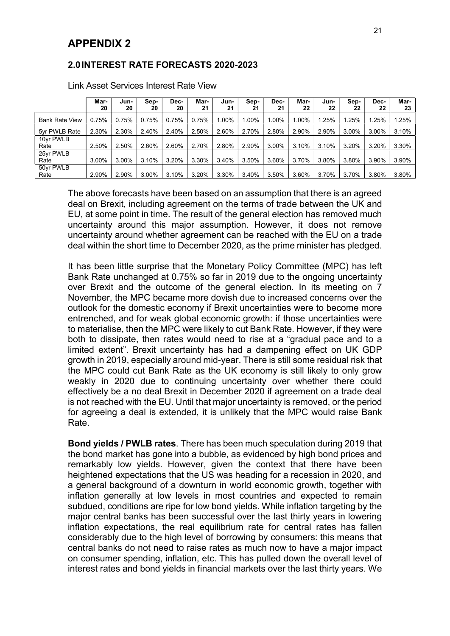#### 2.0 INTEREST RATE FORECASTS 2020-2023

|                       | Mar-<br>20 | Jun-<br>20 | Sep-<br>20 | Dec-<br>20 | Mar-<br>21 | Jun-<br>21 | Sep-<br>21 | Dec-<br>21 | Mar-<br>22 | Jun-<br>22 | Sep-<br>22 | Dec-<br>22 | Mar-<br>23 |
|-----------------------|------------|------------|------------|------------|------------|------------|------------|------------|------------|------------|------------|------------|------------|
| <b>Bank Rate View</b> | 0.75%      | 0.75%      | 0.75%      | 0.75%      | 0.75%      | $.00\%$    | 1.00%      | $.00\%$    | 1.00%      | 1.25%      | 1.25%      | 1.25%      | 1.25%      |
| 5yr PWLB Rate         | 2.30%      | 2.30%      | 2.40%      | 2.40%      | 2.50%      | 2.60%      | 2.70%      | 2.80%      | 2.90%      | 2.90%      | 3.00%      | 3.00%      | 3.10%      |
| 10yr PWLB             |            |            |            |            |            |            |            |            |            |            |            |            |            |
| Rate                  | 2.50%      | 2.50%      | 2.60%      | 2.60%      | 2.70%      | 2.80%      | 2.90%      | 3.00%      | 3.10%      | 3.10%      | 3.20%      | 3.20%      | 3.30%      |
| 25yr PWLB             |            |            |            |            |            |            |            |            |            |            |            |            |            |
| Rate                  | 3.00%      | 3.00%      | 3.10%      | 3.20%      | 3.30%      | 3.40%      | 3.50%      | 3.60%      | 3.70%      | 3.80%      | 3.80%      | 3.90%      | 3.90%      |
| 50yr PWLB             |            |            |            |            |            |            |            |            |            |            |            |            |            |
| Rate                  | 2.90%      | 2.90%      | 3.00%      | 3.10%      | 3.20%      | 3.30%      | 3.40%      | 3.50%      | 3.60%      | 3.70%      | 3.70%      | 3.80%      | 3.80%      |

Link Asset Services Interest Rate View

The above forecasts have been based on an assumption that there is an agreed deal on Brexit, including agreement on the terms of trade between the UK and EU, at some point in time. The result of the general election has removed much uncertainty around this major assumption. However, it does not remove uncertainty around whether agreement can be reached with the EU on a trade deal within the short time to December 2020, as the prime minister has pledged.

It has been little surprise that the Monetary Policy Committee (MPC) has left Bank Rate unchanged at 0.75% so far in 2019 due to the ongoing uncertainty over Brexit and the outcome of the general election. In its meeting on 7 November, the MPC became more dovish due to increased concerns over the outlook for the domestic economy if Brexit uncertainties were to become more entrenched, and for weak global economic growth: if those uncertainties were to materialise, then the MPC were likely to cut Bank Rate. However, if they were both to dissipate, then rates would need to rise at a "gradual pace and to a limited extent". Brexit uncertainty has had a dampening effect on UK GDP growth in 2019, especially around mid-year. There is still some residual risk that the MPC could cut Bank Rate as the UK economy is still likely to only grow weakly in 2020 due to continuing uncertainty over whether there could effectively be a no deal Brexit in December 2020 if agreement on a trade deal is not reached with the EU. Until that major uncertainty is removed, or the period for agreeing a deal is extended, it is unlikely that the MPC would raise Bank Rate.

Bond yields / PWLB rates. There has been much speculation during 2019 that the bond market has gone into a bubble, as evidenced by high bond prices and remarkably low yields. However, given the context that there have been heightened expectations that the US was heading for a recession in 2020, and a general background of a downturn in world economic growth, together with inflation generally at low levels in most countries and expected to remain subdued, conditions are ripe for low bond yields. While inflation targeting by the major central banks has been successful over the last thirty years in lowering inflation expectations, the real equilibrium rate for central rates has fallen considerably due to the high level of borrowing by consumers: this means that central banks do not need to raise rates as much now to have a major impact on consumer spending, inflation, etc. This has pulled down the overall level of interest rates and bond yields in financial markets over the last thirty years. We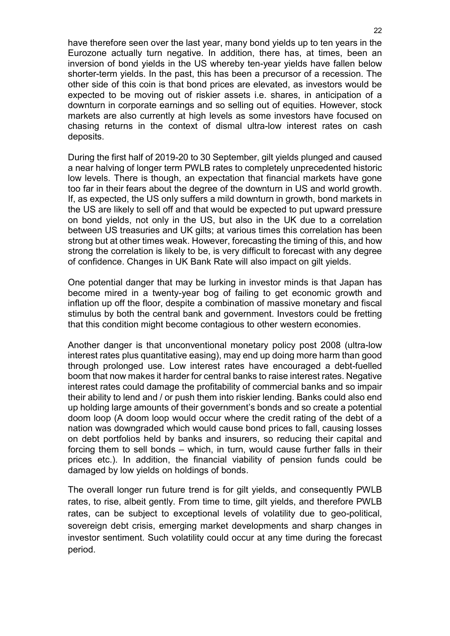have therefore seen over the last year, many bond yields up to ten years in the Eurozone actually turn negative. In addition, there has, at times, been an inversion of bond yields in the US whereby ten-year yields have fallen below shorter-term yields. In the past, this has been a precursor of a recession. The other side of this coin is that bond prices are elevated, as investors would be expected to be moving out of riskier assets i.e. shares, in anticipation of a downturn in corporate earnings and so selling out of equities. However, stock markets are also currently at high levels as some investors have focused on chasing returns in the context of dismal ultra-low interest rates on cash deposits.

During the first half of 2019-20 to 30 September, gilt yields plunged and caused a near halving of longer term PWLB rates to completely unprecedented historic low levels. There is though, an expectation that financial markets have gone too far in their fears about the degree of the downturn in US and world growth. If, as expected, the US only suffers a mild downturn in growth, bond markets in the US are likely to sell off and that would be expected to put upward pressure on bond yields, not only in the US, but also in the UK due to a correlation between US treasuries and UK gilts; at various times this correlation has been strong but at other times weak. However, forecasting the timing of this, and how strong the correlation is likely to be, is very difficult to forecast with any degree of confidence. Changes in UK Bank Rate will also impact on gilt yields.

One potential danger that may be lurking in investor minds is that Japan has become mired in a twenty-year bog of failing to get economic growth and inflation up off the floor, despite a combination of massive monetary and fiscal stimulus by both the central bank and government. Investors could be fretting that this condition might become contagious to other western economies.

Another danger is that unconventional monetary policy post 2008 (ultra-low interest rates plus quantitative easing), may end up doing more harm than good through prolonged use. Low interest rates have encouraged a debt-fuelled boom that now makes it harder for central banks to raise interest rates. Negative interest rates could damage the profitability of commercial banks and so impair their ability to lend and / or push them into riskier lending. Banks could also end up holding large amounts of their government's bonds and so create a potential doom loop (A doom loop would occur where the credit rating of the debt of a nation was downgraded which would cause bond prices to fall, causing losses on debt portfolios held by banks and insurers, so reducing their capital and forcing them to sell bonds – which, in turn, would cause further falls in their prices etc.). In addition, the financial viability of pension funds could be damaged by low yields on holdings of bonds.

The overall longer run future trend is for gilt yields, and consequently PWLB rates, to rise, albeit gently. From time to time, gilt yields, and therefore PWLB rates, can be subject to exceptional levels of volatility due to geo-political, sovereign debt crisis, emerging market developments and sharp changes in investor sentiment. Such volatility could occur at any time during the forecast period.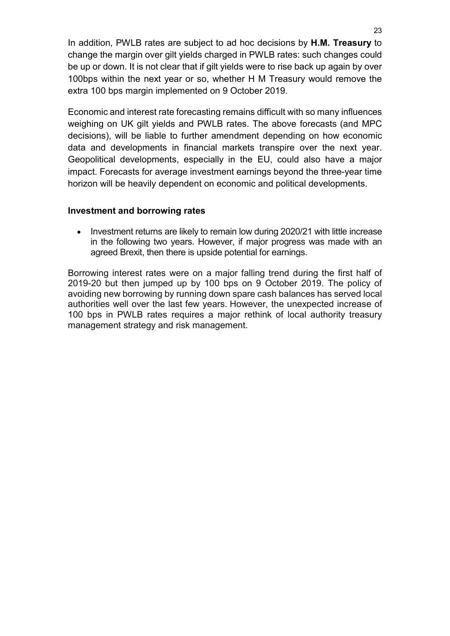In addition, PWLB rates are subject to ad hoc decisions by H.M. Treasury to change the margin over gilt yields charged in PWLB rates: such changes could be up or down. It is not clear that if gilt yields were to rise back up again by over 100bps within the next year or so, whether H M Treasury would remove the extra 100 bps margin implemented on 9 October 2019.

Economic and interest rate forecasting remains difficult with so many influences weighing on UK gilt yields and PWLB rates. The above forecasts (and MPC decisions), will be liable to further amendment depending on how economic data and developments in financial markets transpire over the next year. Geopolitical developments, especially in the EU, could also have a major impact. Forecasts for average investment earnings beyond the three-year time horizon will be heavily dependent on economic and political developments.

#### Investment and borrowing rates

 Investment returns are likely to remain low during 2020/21 with little increase in the following two years. However, if major progress was made with an agreed Brexit, then there is upside potential for earnings.

Borrowing interest rates were on a major falling trend during the first half of 2019-20 but then jumped up by 100 bps on 9 October 2019. The policy of avoiding new borrowing by running down spare cash balances has served local authorities well over the last few years. However, the unexpected increase of 100 bps in PWLB rates requires a major rethink of local authority treasury management strategy and risk management.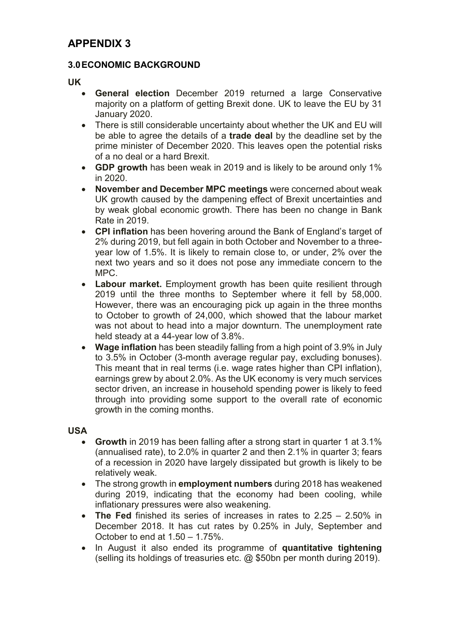## 3.0 ECONOMIC BACKGROUND

UK

- General election December 2019 returned a large Conservative majority on a platform of getting Brexit done. UK to leave the EU by 31 January 2020.
- There is still considerable uncertainty about whether the UK and EU will be able to agree the details of a **trade deal** by the deadline set by the prime minister of December 2020. This leaves open the potential risks of a no deal or a hard Brexit.
- GDP growth has been weak in 2019 and is likely to be around only 1% in 2020.
- November and December MPC meetings were concerned about weak UK growth caused by the dampening effect of Brexit uncertainties and by weak global economic growth. There has been no change in Bank Rate in 2019.
- CPI inflation has been hovering around the Bank of England's target of 2% during 2019, but fell again in both October and November to a threeyear low of 1.5%. It is likely to remain close to, or under, 2% over the next two years and so it does not pose any immediate concern to the MPC.
- Labour market. Employment growth has been quite resilient through 2019 until the three months to September where it fell by 58,000. However, there was an encouraging pick up again in the three months to October to growth of 24,000, which showed that the labour market was not about to head into a major downturn. The unemployment rate held steady at a 44-year low of 3.8%.
- Wage inflation has been steadily falling from a high point of 3.9% in July to 3.5% in October (3-month average regular pay, excluding bonuses). This meant that in real terms (i.e. wage rates higher than CPI inflation), earnings grew by about 2.0%. As the UK economy is very much services sector driven, an increase in household spending power is likely to feed through into providing some support to the overall rate of economic growth in the coming months.

## USA

- Growth in 2019 has been falling after a strong start in quarter 1 at 3.1% (annualised rate), to 2.0% in quarter 2 and then 2.1% in quarter 3; fears of a recession in 2020 have largely dissipated but growth is likely to be relatively weak.
- The strong growth in employment numbers during 2018 has weakened during 2019, indicating that the economy had been cooling, while inflationary pressures were also weakening.
- The Fed finished its series of increases in rates to 2.25 2.50% in December 2018. It has cut rates by 0.25% in July, September and October to end at 1.50 – 1.75%.
- In August it also ended its programme of quantitative tightening (selling its holdings of treasuries etc. @ \$50bn per month during 2019).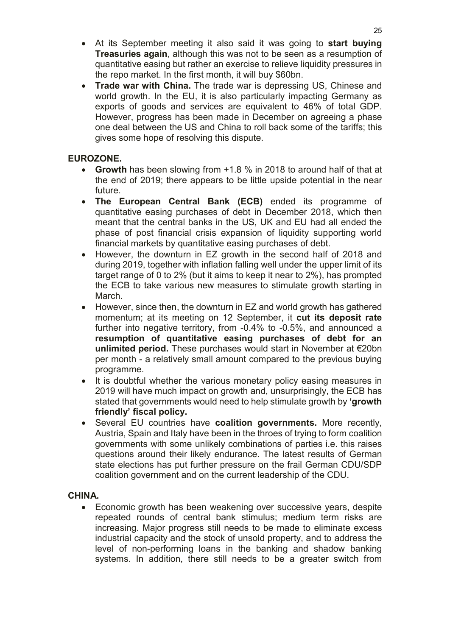- At its September meeting it also said it was going to start buying Treasuries again, although this was not to be seen as a resumption of quantitative easing but rather an exercise to relieve liquidity pressures in the repo market. In the first month, it will buy \$60bn.
- Trade war with China. The trade war is depressing US, Chinese and world growth. In the EU, it is also particularly impacting Germany as exports of goods and services are equivalent to 46% of total GDP. However, progress has been made in December on agreeing a phase one deal between the US and China to roll back some of the tariffs; this gives some hope of resolving this dispute.

### EUROZONE.

- Growth has been slowing from +1.8 % in 2018 to around half of that at the end of 2019; there appears to be little upside potential in the near future.
- The European Central Bank (ECB) ended its programme of quantitative easing purchases of debt in December 2018, which then meant that the central banks in the US, UK and EU had all ended the phase of post financial crisis expansion of liquidity supporting world financial markets by quantitative easing purchases of debt.
- However, the downturn in EZ growth in the second half of 2018 and during 2019, together with inflation falling well under the upper limit of its target range of 0 to 2% (but it aims to keep it near to 2%), has prompted the ECB to take various new measures to stimulate growth starting in March.
- However, since then, the downturn in EZ and world growth has gathered momentum; at its meeting on 12 September, it cut its deposit rate further into negative territory, from -0.4% to -0.5%, and announced a resumption of quantitative easing purchases of debt for an unlimited period. These purchases would start in November at €20bn per month - a relatively small amount compared to the previous buying programme.
- It is doubtful whether the various monetary policy easing measures in 2019 will have much impact on growth and, unsurprisingly, the ECB has stated that governments would need to help stimulate growth by 'growth friendly' fiscal policy.
- Several EU countries have coalition governments. More recently, Austria, Spain and Italy have been in the throes of trying to form coalition governments with some unlikely combinations of parties i.e. this raises questions around their likely endurance. The latest results of German state elections has put further pressure on the frail German CDU/SDP coalition government and on the current leadership of the CDU.

#### CHINA.

• Economic growth has been weakening over successive years, despite repeated rounds of central bank stimulus; medium term risks are increasing. Major progress still needs to be made to eliminate excess industrial capacity and the stock of unsold property, and to address the level of non-performing loans in the banking and shadow banking systems. In addition, there still needs to be a greater switch from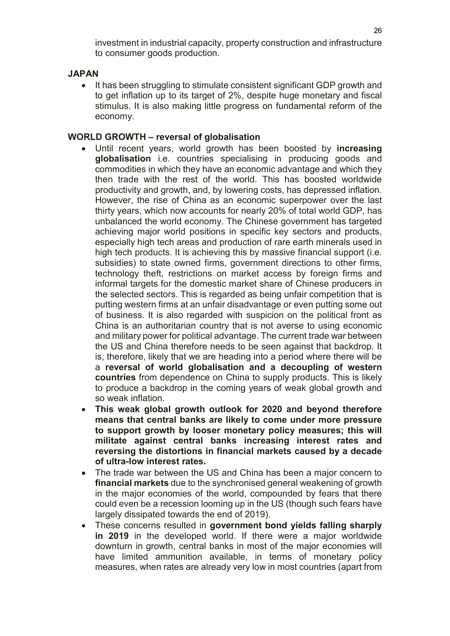investment in industrial capacity, property construction and infrastructure to consumer goods production.

### JAPAN

 It has been struggling to stimulate consistent significant GDP growth and to get inflation up to its target of 2%, despite huge monetary and fiscal stimulus. It is also making little progress on fundamental reform of the economy.

#### WORLD GROWTH – reversal of globalisation

- Until recent years, world growth has been boosted by increasing globalisation i.e. countries specialising in producing goods and commodities in which they have an economic advantage and which they then trade with the rest of the world. This has boosted worldwide productivity and growth, and, by lowering costs, has depressed inflation. However, the rise of China as an economic superpower over the last thirty years, which now accounts for nearly 20% of total world GDP, has unbalanced the world economy. The Chinese government has targeted achieving major world positions in specific key sectors and products, especially high tech areas and production of rare earth minerals used in high tech products. It is achieving this by massive financial support (i.e. subsidies) to state owned firms, government directions to other firms, technology theft, restrictions on market access by foreign firms and informal targets for the domestic market share of Chinese producers in the selected sectors. This is regarded as being unfair competition that is putting western firms at an unfair disadvantage or even putting some out of business. It is also regarded with suspicion on the political front as China is an authoritarian country that is not averse to using economic and military power for political advantage. The current trade war between the US and China therefore needs to be seen against that backdrop. It is, therefore, likely that we are heading into a period where there will be a reversal of world globalisation and a decoupling of western countries from dependence on China to supply products. This is likely to produce a backdrop in the coming years of weak global growth and so weak inflation.
- This weak global growth outlook for 2020 and beyond therefore means that central banks are likely to come under more pressure to support growth by looser monetary policy measures; this will militate against central banks increasing interest rates and reversing the distortions in financial markets caused by a decade of ultra-low interest rates.
- The trade war between the US and China has been a major concern to financial markets due to the synchronised general weakening of growth in the major economies of the world, compounded by fears that there could even be a recession looming up in the US (though such fears have largely dissipated towards the end of 2019).
- These concerns resulted in government bond yields falling sharply in 2019 in the developed world. If there were a major worldwide downturn in growth, central banks in most of the major economies will have limited ammunition available, in terms of monetary policy measures, when rates are already very low in most countries (apart from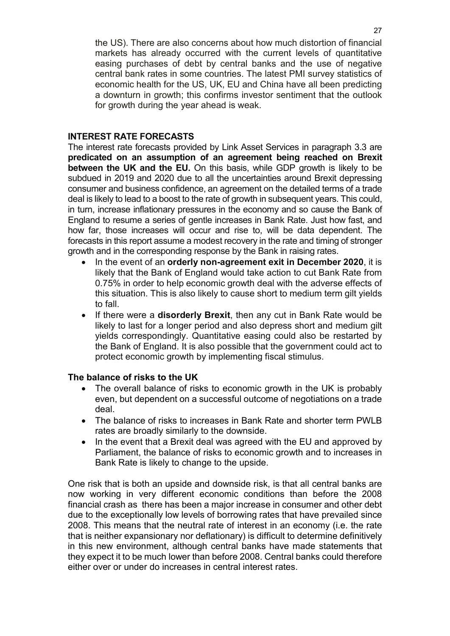the US). There are also concerns about how much distortion of financial markets has already occurred with the current levels of quantitative easing purchases of debt by central banks and the use of negative central bank rates in some countries. The latest PMI survey statistics of economic health for the US, UK, EU and China have all been predicting a downturn in growth; this confirms investor sentiment that the outlook for growth during the year ahead is weak.

#### INTEREST RATE FORECASTS

The interest rate forecasts provided by Link Asset Services in paragraph 3.3 are predicated on an assumption of an agreement being reached on Brexit between the UK and the EU. On this basis, while GDP growth is likely to be subdued in 2019 and 2020 due to all the uncertainties around Brexit depressing consumer and business confidence, an agreement on the detailed terms of a trade deal is likely to lead to a boost to the rate of growth in subsequent years. This could, in turn, increase inflationary pressures in the economy and so cause the Bank of England to resume a series of gentle increases in Bank Rate. Just how fast, and how far, those increases will occur and rise to, will be data dependent. The forecasts in this report assume a modest recovery in the rate and timing of stronger growth and in the corresponding response by the Bank in raising rates.

- In the event of an **orderly non-agreement exit in December 2020**, it is likely that the Bank of England would take action to cut Bank Rate from 0.75% in order to help economic growth deal with the adverse effects of this situation. This is also likely to cause short to medium term gilt yields to fall.
- If there were a **disorderly Brexit**, then any cut in Bank Rate would be likely to last for a longer period and also depress short and medium gilt yields correspondingly. Quantitative easing could also be restarted by the Bank of England. It is also possible that the government could act to protect economic growth by implementing fiscal stimulus.

#### The balance of risks to the UK

- The overall balance of risks to economic growth in the UK is probably even, but dependent on a successful outcome of negotiations on a trade deal.
- The balance of risks to increases in Bank Rate and shorter term PWLB rates are broadly similarly to the downside.
- In the event that a Brexit deal was agreed with the EU and approved by Parliament, the balance of risks to economic growth and to increases in Bank Rate is likely to change to the upside.

One risk that is both an upside and downside risk, is that all central banks are now working in very different economic conditions than before the 2008 financial crash as there has been a major increase in consumer and other debt due to the exceptionally low levels of borrowing rates that have prevailed since 2008. This means that the neutral rate of interest in an economy (i.e. the rate that is neither expansionary nor deflationary) is difficult to determine definitively in this new environment, although central banks have made statements that they expect it to be much lower than before 2008. Central banks could therefore either over or under do increases in central interest rates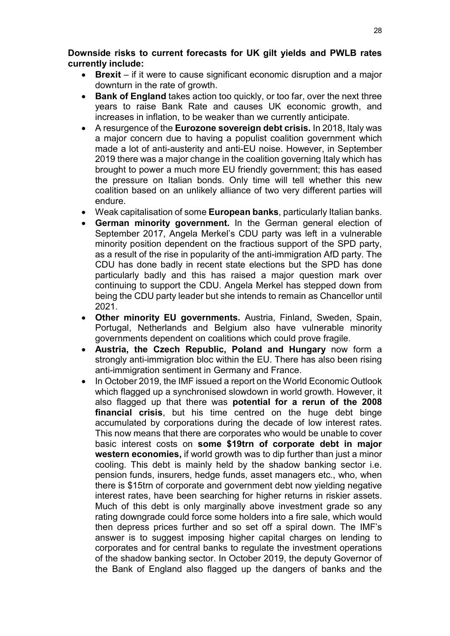Downside risks to current forecasts for UK gilt yields and PWLB rates currently include:

- Brexit if it were to cause significant economic disruption and a major downturn in the rate of growth.
- Bank of England takes action too quickly, or too far, over the next three years to raise Bank Rate and causes UK economic growth, and increases in inflation, to be weaker than we currently anticipate.
- A resurgence of the Eurozone sovereign debt crisis. In 2018, Italy was a major concern due to having a populist coalition government which made a lot of anti-austerity and anti-EU noise. However, in September 2019 there was a major change in the coalition governing Italy which has brought to power a much more EU friendly government; this has eased the pressure on Italian bonds. Only time will tell whether this new coalition based on an unlikely alliance of two very different parties will endure.
- Weak capitalisation of some **European banks**, particularly Italian banks.
- German minority government. In the German general election of September 2017, Angela Merkel's CDU party was left in a vulnerable minority position dependent on the fractious support of the SPD party, as a result of the rise in popularity of the anti-immigration AfD party. The CDU has done badly in recent state elections but the SPD has done particularly badly and this has raised a major question mark over continuing to support the CDU. Angela Merkel has stepped down from being the CDU party leader but she intends to remain as Chancellor until 2021.
- Other minority EU governments. Austria, Finland, Sweden, Spain, Portugal, Netherlands and Belgium also have vulnerable minority governments dependent on coalitions which could prove fragile.
- Austria, the Czech Republic, Poland and Hungary now form a strongly anti-immigration bloc within the EU. There has also been rising anti-immigration sentiment in Germany and France.
- In October 2019, the IMF issued a report on the World Economic Outlook which flagged up a synchronised slowdown in world growth. However, it also flagged up that there was potential for a rerun of the 2008 financial crisis, but his time centred on the huge debt binge accumulated by corporations during the decade of low interest rates. This now means that there are corporates who would be unable to cover basic interest costs on some \$19trn of corporate debt in major western economies, if world growth was to dip further than just a minor cooling. This debt is mainly held by the shadow banking sector i.e. pension funds, insurers, hedge funds, asset managers etc., who, when there is \$15trn of corporate and government debt now yielding negative interest rates, have been searching for higher returns in riskier assets. Much of this debt is only marginally above investment grade so any rating downgrade could force some holders into a fire sale, which would then depress prices further and so set off a spiral down. The IMF's answer is to suggest imposing higher capital charges on lending to corporates and for central banks to regulate the investment operations of the shadow banking sector. In October 2019, the deputy Governor of the Bank of England also flagged up the dangers of banks and the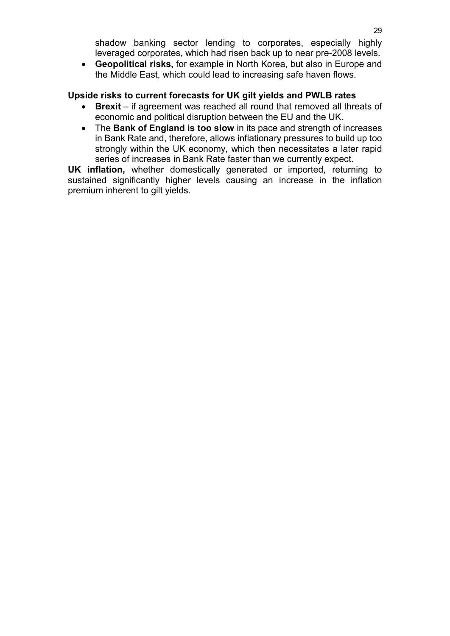shadow banking sector lending to corporates, especially highly leveraged corporates, which had risen back up to near pre-2008 levels.

 Geopolitical risks, for example in North Korea, but also in Europe and the Middle East, which could lead to increasing safe haven flows.

### Upside risks to current forecasts for UK gilt yields and PWLB rates

- Brexit if agreement was reached all round that removed all threats of economic and political disruption between the EU and the UK.
- The Bank of England is too slow in its pace and strength of increases in Bank Rate and, therefore, allows inflationary pressures to build up too strongly within the UK economy, which then necessitates a later rapid series of increases in Bank Rate faster than we currently expect.

UK inflation, whether domestically generated or imported, returning to sustained significantly higher levels causing an increase in the inflation premium inherent to gilt yields.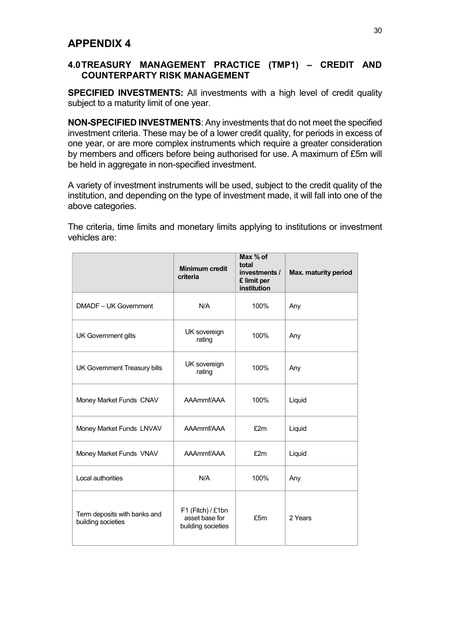## 4.0 TREASURY MANAGEMENT PRACTICE (TMP1) – CREDIT AND COUNTERPARTY RISK MANAGEMENT

SPECIFIED INVESTMENTS: All investments with a high level of credit quality subject to a maturity limit of one year.

NON-SPECIFIED INVESTMENTS: Any investments that do not meet the specified investment criteria. These may be of a lower credit quality, for periods in excess of one year, or are more complex instruments which require a greater consideration by members and officers before being authorised for use. A maximum of £5m will be held in aggregate in non-specified investment.

A variety of investment instruments will be used, subject to the credit quality of the institution, and depending on the type of investment made, it will fall into one of the above categories.

The criteria, time limits and monetary limits applying to institutions or investment vehicles are:

|                                                    | <b>Minimum credit</b><br>criteria                         | Max % of<br>total<br>investments /<br>£ limit per<br>institution | Max. maturity period |
|----------------------------------------------------|-----------------------------------------------------------|------------------------------------------------------------------|----------------------|
| DMADF - UK Government                              | N/A                                                       | 100%                                                             | Any                  |
| UK Government gilts                                | UK sovereign<br>rating                                    | 100%                                                             | Any                  |
| UK Government Treasury bills                       | UK sovereign<br>rating                                    | 100%                                                             | Any                  |
| Money Market Funds CNAV                            | AAAmmf/AAA                                                | 100%                                                             | Liquid               |
| Money Market Funds LNVAV                           | AAAmmf/AAA                                                | £2m                                                              | Liquid               |
| Money Market Funds VNAV                            | AAAmmf/AAA                                                | £2m                                                              | Liquid               |
| Local authorities                                  | N/A                                                       | 100%                                                             | Any                  |
| Term deposits with banks and<br>building societies | F1 (Fitch) / £1bn<br>asset base for<br>building societies | £5m                                                              | 2 Years              |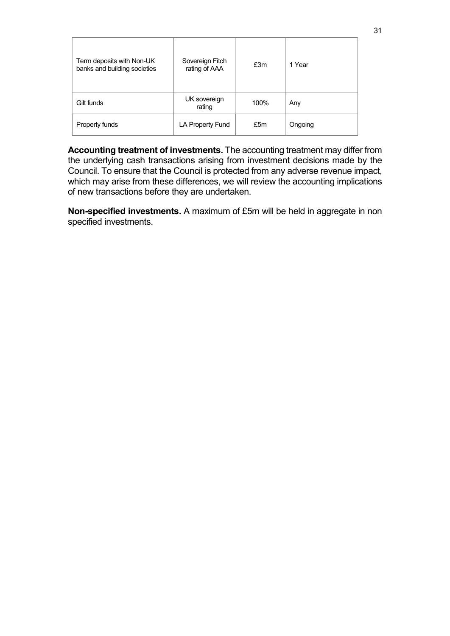| Term deposits with Non-UK<br>banks and building societies | Sovereign Fitch<br>rating of AAA | £3m  | 1 Year  |
|-----------------------------------------------------------|----------------------------------|------|---------|
| Gilt funds                                                | UK sovereign<br>rating           | 100% | Any     |
| Property funds                                            | LA Property Fund                 | £5m  | Ongoing |

Accounting treatment of investments. The accounting treatment may differ from the underlying cash transactions arising from investment decisions made by the Council. To ensure that the Council is protected from any adverse revenue impact, which may arise from these differences, we will review the accounting implications of new transactions before they are undertaken.

Non-specified investments. A maximum of £5m will be held in aggregate in non specified investments.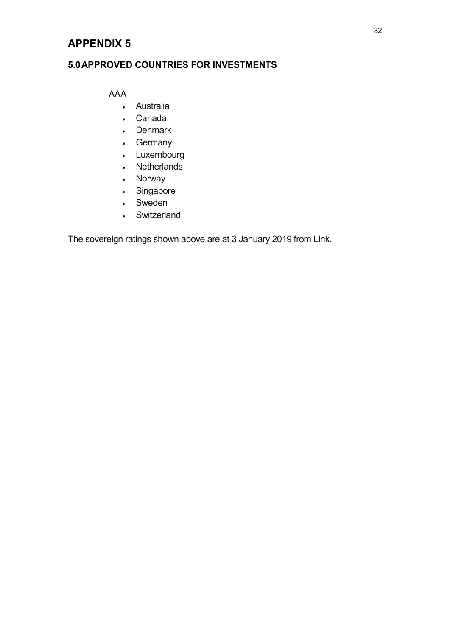## 5.0 APPROVED COUNTRIES FOR INVESTMENTS

AAA

- Australia
- Canada
- Denmark
- Germany
- Luxembourg
- Netherlands
- Norway
- Singapore
- Sweden
- Switzerland

The sovereign ratings shown above are at 3 January 2019 from Link.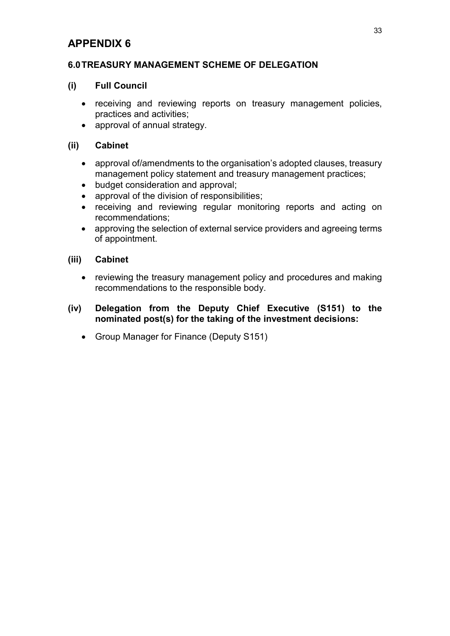### 6.0 TREASURY MANAGEMENT SCHEME OF DELEGATION

### (i) Full Council

- receiving and reviewing reports on treasury management policies, practices and activities;
- approval of annual strategy.

### (ii) Cabinet

- approval of/amendments to the organisation's adopted clauses, treasury management policy statement and treasury management practices;
- budget consideration and approval;
- approval of the division of responsibilities;
- receiving and reviewing regular monitoring reports and acting on recommendations;
- approving the selection of external service providers and agreeing terms of appointment.

#### (iii) Cabinet

- reviewing the treasury management policy and procedures and making recommendations to the responsible body.
- (iv) Delegation from the Deputy Chief Executive (S151) to the nominated post(s) for the taking of the investment decisions:
	- Group Manager for Finance (Deputy S151)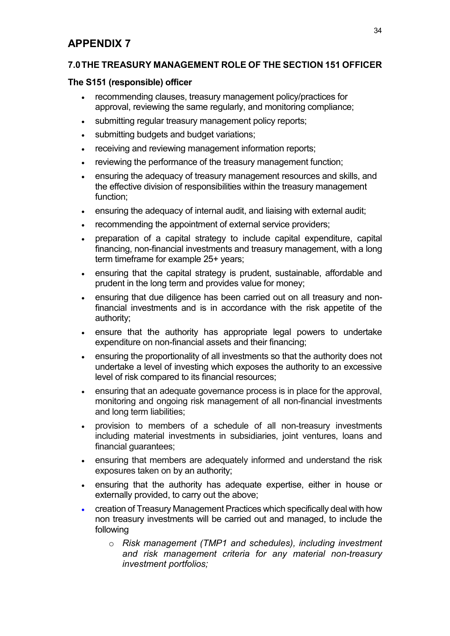## 7.0 THE TREASURY MANAGEMENT ROLE OF THE SECTION 151 OFFICER

## The S151 (responsible) officer

- recommending clauses, treasury management policy/practices for approval, reviewing the same regularly, and monitoring compliance;
- submitting regular treasury management policy reports;
- submitting budgets and budget variations;
- receiving and reviewing management information reports;
- reviewing the performance of the treasury management function;
- ensuring the adequacy of treasury management resources and skills, and the effective division of responsibilities within the treasury management function;
- ensuring the adequacy of internal audit, and liaising with external audit;
- recommending the appointment of external service providers;
- preparation of a capital strategy to include capital expenditure, capital financing, non-financial investments and treasury management, with a long term timeframe for example 25+ years;
- ensuring that the capital strategy is prudent, sustainable, affordable and prudent in the long term and provides value for money;
- ensuring that due diligence has been carried out on all treasury and nonfinancial investments and is in accordance with the risk appetite of the authority;
- ensure that the authority has appropriate legal powers to undertake expenditure on non-financial assets and their financing;
- ensuring the proportionality of all investments so that the authority does not undertake a level of investing which exposes the authority to an excessive level of risk compared to its financial resources;
- ensuring that an adequate governance process is in place for the approval, monitoring and ongoing risk management of all non-financial investments and long term liabilities;
- provision to members of a schedule of all non-treasury investments including material investments in subsidiaries, joint ventures, loans and financial guarantees;
- ensuring that members are adequately informed and understand the risk exposures taken on by an authority;
- ensuring that the authority has adequate expertise, either in house or externally provided, to carry out the above;
- creation of Treasury Management Practices which specifically deal with how non treasury investments will be carried out and managed, to include the following
	- o Risk management (TMP1 and schedules), including investment and risk management criteria for any material non-treasury investment portfolios;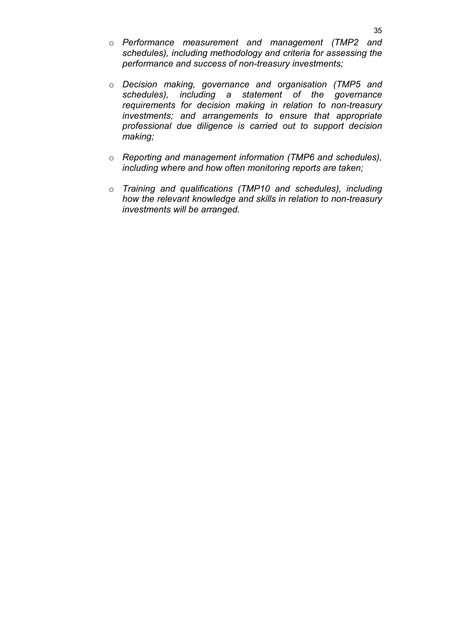- o Performance measurement and management (TMP2 and schedules), including methodology and criteria for assessing the performance and success of non-treasury investments;
- o Decision making, governance and organisation (TMP5 and schedules), including a statement of the governance requirements for decision making in relation to non-treasury investments; and arrangements to ensure that appropriate professional due diligence is carried out to support decision making;
- o Reporting and management information (TMP6 and schedules), including where and how often monitoring reports are taken;
- o Training and qualifications (TMP10 and schedules), including how the relevant knowledge and skills in relation to non-treasury investments will be arranged.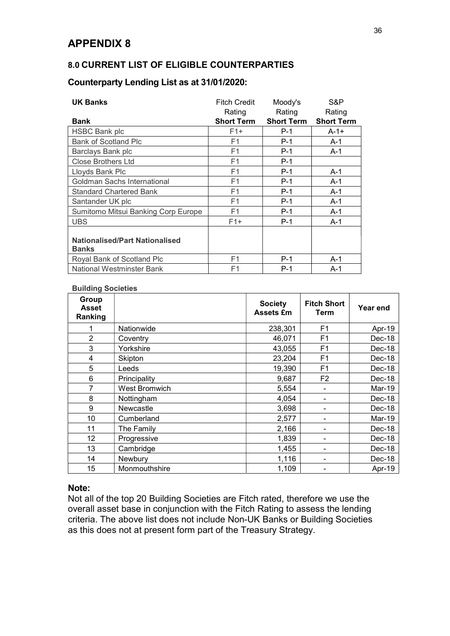### 8.0 CURRENT LIST OF ELIGIBLE COUNTERPARTIES

## Counterparty Lending List as at 31/01/2020:

| <b>UK Banks</b>                                       | <b>Fitch Credit</b> | Moody's           | S&P               |
|-------------------------------------------------------|---------------------|-------------------|-------------------|
|                                                       | Rating              | Rating            | Rating            |
| Bank                                                  | <b>Short Term</b>   | <b>Short Term</b> | <b>Short Term</b> |
| <b>HSBC Bank plc</b>                                  | $F1+$               | $P-1$             | $A-1+$            |
| <b>Bank of Scotland Plc</b>                           | F <sub>1</sub>      | $P-1$             | $A-1$             |
| Barclays Bank plc                                     | F1                  | $P-1$             | $A-1$             |
| <b>Close Brothers Ltd</b>                             | F1                  | $P-1$             |                   |
| Lloyds Bank Plc                                       | F1                  | $P-1$             | $A-1$             |
| Goldman Sachs International                           | F1                  | $P-1$             | $A-1$             |
| <b>Standard Chartered Bank</b>                        | F1                  | $P-1$             | $A-1$             |
| Santander UK plc                                      | F1                  | $P-1$             | $A-1$             |
| Sumitomo Mitsui Banking Corp Europe                   | F1                  | $P-1$             | $A-1$             |
| <b>UBS</b>                                            | $F1+$               | $P-1$             | $A-1$             |
| <b>Nationalised/Part Nationalised</b><br><b>Banks</b> |                     |                   |                   |
| Royal Bank of Scotland Plc                            | F1                  | $P-1$             | $A-1$             |
| National Westminster Bank                             | F1                  | $P-1$             | $A-1$             |

#### Building Societies

| Group<br><b>Asset</b><br>Ranking |                      | <b>Society</b><br><b>Assets £m</b> | <b>Fitch Short</b><br><b>Term</b> | Year end |
|----------------------------------|----------------------|------------------------------------|-----------------------------------|----------|
|                                  | Nationwide           | 238,301                            | F <sub>1</sub>                    | Apr-19   |
| $\overline{2}$                   | Coventry             | 46,071                             | F <sub>1</sub>                    | Dec-18   |
| 3                                | Yorkshire            | 43,055                             | F <sub>1</sub>                    | Dec-18   |
| 4                                | Skipton              | 23,204                             | F1                                | Dec-18   |
| 5                                | Leeds                | 19,390                             | F <sub>1</sub>                    | Dec-18   |
| 6                                | Principality         | 9,687                              | F <sub>2</sub>                    | Dec-18   |
| 7                                | <b>West Bromwich</b> | 5,554                              |                                   | Mar-19   |
| 8                                | Nottingham           | 4,054                              |                                   | Dec-18   |
| 9                                | Newcastle            | 3,698                              |                                   | Dec-18   |
| 10                               | Cumberland           | 2,577                              |                                   | Mar-19   |
| 11                               | The Family           | 2,166                              |                                   | Dec-18   |
| 12                               | Progressive          | 1,839                              |                                   | Dec-18   |
| 13                               | Cambridge            | 1,455                              |                                   | Dec-18   |
| 14                               | Newbury              | 1,116                              |                                   | Dec-18   |
| 15                               | Monmouthshire        | 1,109                              |                                   | Apr-19   |

#### Note:

Not all of the top 20 Building Societies are Fitch rated, therefore we use the overall asset base in conjunction with the Fitch Rating to assess the lending criteria. The above list does not include Non-UK Banks or Building Societies as this does not at present form part of the Treasury Strategy.